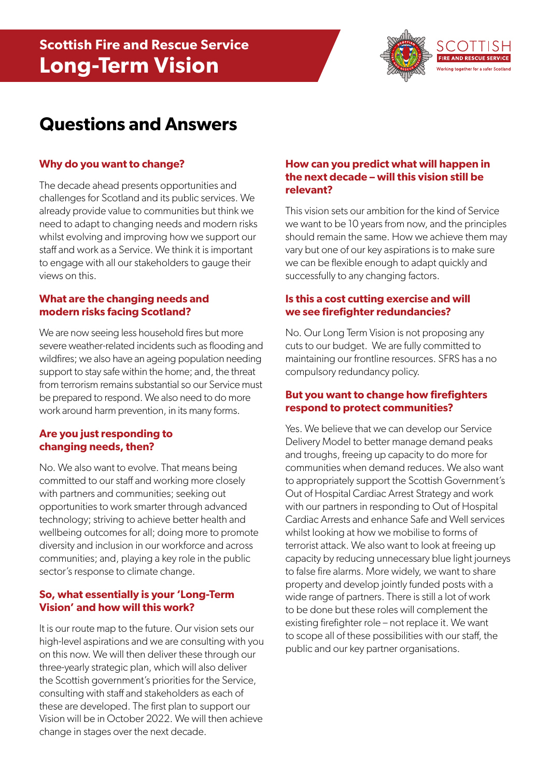

# **Questions and Answers**

### **Why do you want to change?**

The decade ahead presents opportunities and challenges for Scotland and its public services. We already provide value to communities but think we need to adapt to changing needs and modern risks whilst evolving and improving how we support our staff and work as a Service. We think it is important to engage with all our stakeholders to gauge their views on this.

## **What are the changing needs and modern risks facing Scotland?**

We are now seeing less household fires but more severe weather-related incidents such as flooding and wildfires; we also have an ageing population needing support to stay safe within the home; and, the threat from terrorism remains substantial so our Service must be prepared to respond. We also need to do more work around harm prevention, in its many forms.

#### **Are you just responding to changing needs, then?**

No. We also want to evolve. That means being committed to our staff and working more closely with partners and communities; seeking out opportunities to work smarter through advanced technology; striving to achieve better health and wellbeing outcomes for all; doing more to promote diversity and inclusion in our workforce and across communities; and, playing a key role in the public sector's response to climate change.

## **So, what essentially is your 'Long-Term Vision' and how will this work?**

It is our route map to the future. Our vision sets our high-level aspirations and we are consulting with you on this now. We will then deliver these through our three-yearly strategic plan, which will also deliver the Scottish government's priorities for the Service, consulting with staff and stakeholders as each of these are developed. The first plan to support our Vision will be in October 2022. We will then achieve change in stages over the next decade.

#### **How can you predict what will happen in the next decade – will this vision still be relevant?**

This vision sets our ambition for the kind of Service we want to be 10 years from now, and the principles should remain the same. How we achieve them may vary but one of our key aspirations is to make sure we can be flexible enough to adapt quickly and successfully to any changing factors.

## **Is this a cost cutting exercise and will we see firefighter redundancies?**

No. Our Long Term Vision is not proposing any cuts to our budget. We are fully committed to maintaining our frontline resources. SFRS has a no compulsory redundancy policy.

#### **But you want to change how firefighters respond to protect communities?**

Yes. We believe that we can develop our Service Delivery Model to better manage demand peaks and troughs, freeing up capacity to do more for communities when demand reduces. We also want to appropriately support the Scottish Government's Out of Hospital Cardiac Arrest Strategy and work with our partners in responding to Out of Hospital Cardiac Arrests and enhance Safe and Well services whilst looking at how we mobilise to forms of terrorist attack. We also want to look at freeing up capacity by reducing unnecessary blue light journeys to false fire alarms. More widely, we want to share property and develop jointly funded posts with a wide range of partners. There is still a lot of work to be done but these roles will complement the existing firefighter role – not replace it. We want to scope all of these possibilities with our staff, the public and our key partner organisations.